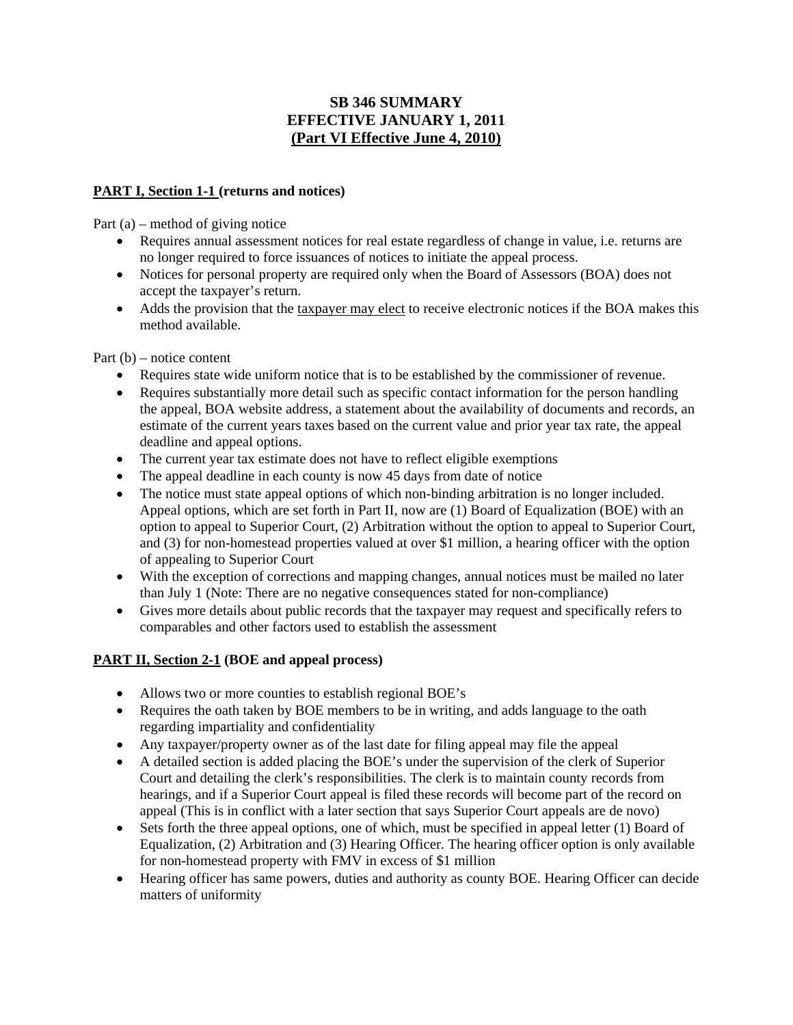# **SB 346 SUMMARY EFFECTIVE JANUARY 1, 2011 (Part VI Effective June 4, 2010)**

### **PART I, Section 1-1 (returns and notices)**

Part (a) – method of giving notice

- Requires annual assessment notices for real estate regardless of change in value, i.e. returns are no longer required to force issuances of notices to initiate the appeal process.
- Notices for personal property are required only when the Board of Assessors (BOA) does not accept the taxpayer's return.
- Adds the provision that the taxpayer may elect to receive electronic notices if the BOA makes this method available.

Part (b) – notice content

- Requires state wide uniform notice that is to be established by the commissioner of revenue.
- Requires substantially more detail such as specific contact information for the person handling the appeal, BOA website address, a statement about the availability of documents and records, an estimate of the current years taxes based on the current value and prior year tax rate, the appeal deadline and appeal options.
- The current year tax estimate does not have to reflect eligible exemptions
- The appeal deadline in each county is now 45 days from date of notice
- The notice must state appeal options of which non-binding arbitration is no longer included. Appeal options, which are set forth in Part II, now are (1) Board of Equalization (BOE) with an option to appeal to Superior Court, (2) Arbitration without the option to appeal to Superior Court, and (3) for non-homestead properties valued at over \$1 million, a hearing officer with the option of appealing to Superior Court
- With the exception of corrections and mapping changes, annual notices must be mailed no later than July 1 (Note: There are no negative consequences stated for non-compliance)
- Gives more details about public records that the taxpayer may request and specifically refers to comparables and other factors used to establish the assessment

# **PART II, Section 2-1 (BOE and appeal process)**

- Allows two or more counties to establish regional BOE's
- Requires the oath taken by BOE members to be in writing, and adds language to the oath regarding impartiality and confidentiality
- Any taxpayer/property owner as of the last date for filing appeal may file the appeal
- A detailed section is added placing the BOE's under the supervision of the clerk of Superior Court and detailing the clerk's responsibilities. The clerk is to maintain county records from hearings, and if a Superior Court appeal is filed these records will become part of the record on appeal (This is in conflict with a later section that says Superior Court appeals are de novo)
- Sets forth the three appeal options, one of which, must be specified in appeal letter (1) Board of Equalization, (2) Arbitration and (3) Hearing Officer. The hearing officer option is only available for non-homestead property with FMV in excess of \$1 million
- Hearing officer has same powers, duties and authority as county BOE. Hearing Officer can decide matters of uniformity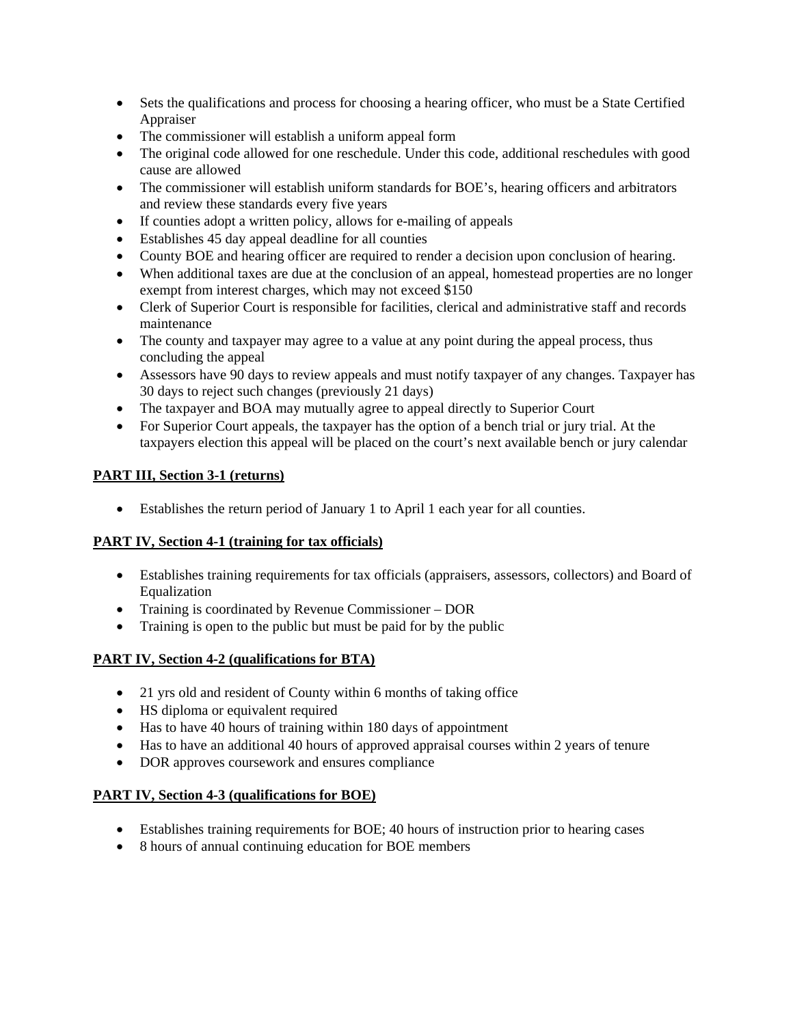- Sets the qualifications and process for choosing a hearing officer, who must be a State Certified Appraiser
- The commissioner will establish a uniform appeal form
- The original code allowed for one reschedule. Under this code, additional reschedules with good cause are allowed
- The commissioner will establish uniform standards for BOE's, hearing officers and arbitrators and review these standards every five years
- If counties adopt a written policy, allows for e-mailing of appeals
- Establishes 45 day appeal deadline for all counties
- County BOE and hearing officer are required to render a decision upon conclusion of hearing.
- When additional taxes are due at the conclusion of an appeal, homestead properties are no longer exempt from interest charges, which may not exceed \$150
- Clerk of Superior Court is responsible for facilities, clerical and administrative staff and records maintenance
- The county and taxpayer may agree to a value at any point during the appeal process, thus concluding the appeal
- Assessors have 90 days to review appeals and must notify taxpayer of any changes. Taxpayer has 30 days to reject such changes (previously 21 days)
- The taxpayer and BOA may mutually agree to appeal directly to Superior Court
- For Superior Court appeals, the taxpayer has the option of a bench trial or jury trial. At the taxpayers election this appeal will be placed on the court's next available bench or jury calendar

# **PART III, Section 3-1 (returns)**

• Establishes the return period of January 1 to April 1 each year for all counties.

# **PART IV, Section 4-1 (training for tax officials)**

- Establishes training requirements for tax officials (appraisers, assessors, collectors) and Board of Equalization
- Training is coordinated by Revenue Commissioner DOR
- Training is open to the public but must be paid for by the public

# **PART IV, Section 4-2 (qualifications for BTA)**

- 21 yrs old and resident of County within 6 months of taking office
- HS diploma or equivalent required
- Has to have 40 hours of training within 180 days of appointment
- Has to have an additional 40 hours of approved appraisal courses within 2 years of tenure
- DOR approves coursework and ensures compliance

# **PART IV, Section 4-3 (qualifications for BOE)**

- Establishes training requirements for BOE; 40 hours of instruction prior to hearing cases
- 8 hours of annual continuing education for BOE members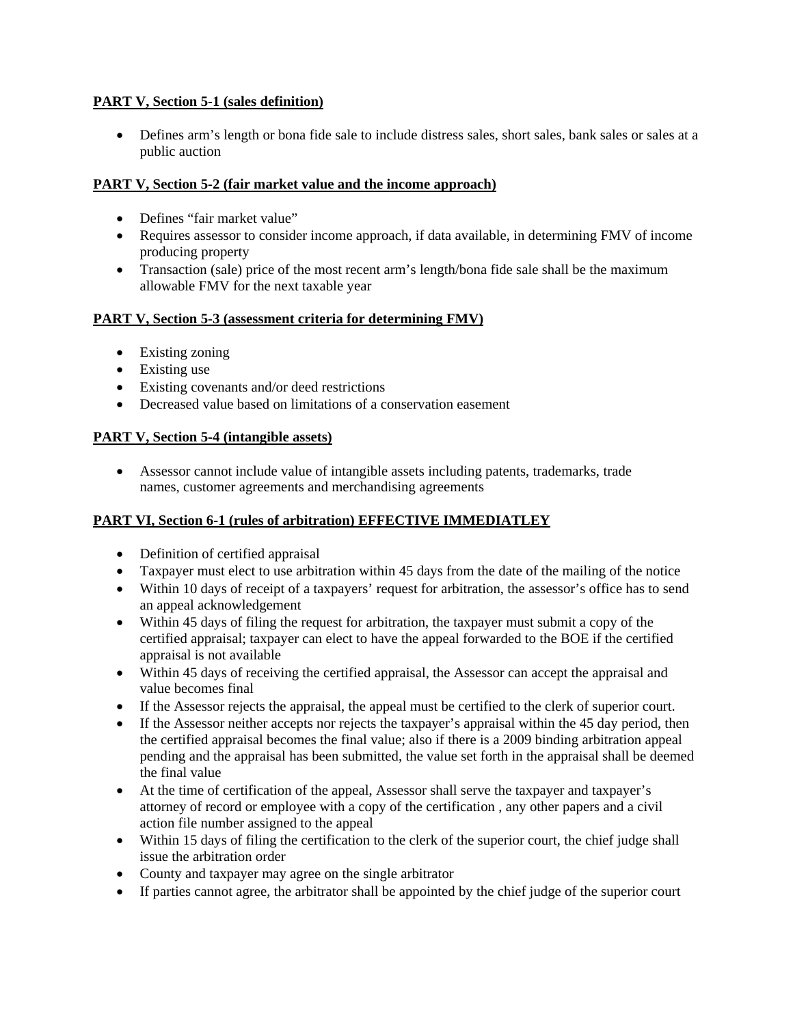### **PART V, Section 5-1 (sales definition)**

• Defines arm's length or bona fide sale to include distress sales, short sales, bank sales or sales at a public auction

### **PART V, Section 5-2 (fair market value and the income approach)**

- Defines "fair market value"
- Requires assessor to consider income approach, if data available, in determining FMV of income producing property
- Transaction (sale) price of the most recent arm's length/bona fide sale shall be the maximum allowable FMV for the next taxable year

### **PART V, Section 5-3 (assessment criteria for determining FMV)**

- Existing zoning
- Existing use
- Existing covenants and/or deed restrictions
- Decreased value based on limitations of a conservation easement

#### **PART V, Section 5-4 (intangible assets)**

• Assessor cannot include value of intangible assets including patents, trademarks, trade names, customer agreements and merchandising agreements

### **PART VI, Section 6-1 (rules of arbitration) EFFECTIVE IMMEDIATLEY**

- Definition of certified appraisal
- Taxpayer must elect to use arbitration within 45 days from the date of the mailing of the notice
- Within 10 days of receipt of a taxpayers' request for arbitration, the assessor's office has to send an appeal acknowledgement
- Within 45 days of filing the request for arbitration, the taxpayer must submit a copy of the certified appraisal; taxpayer can elect to have the appeal forwarded to the BOE if the certified appraisal is not available
- Within 45 days of receiving the certified appraisal, the Assessor can accept the appraisal and value becomes final
- If the Assessor rejects the appraisal, the appeal must be certified to the clerk of superior court.
- If the Assessor neither accepts nor rejects the taxpayer's appraisal within the 45 day period, then the certified appraisal becomes the final value; also if there is a 2009 binding arbitration appeal pending and the appraisal has been submitted, the value set forth in the appraisal shall be deemed the final value
- At the time of certification of the appeal, Assessor shall serve the taxpayer and taxpayer's attorney of record or employee with a copy of the certification , any other papers and a civil action file number assigned to the appeal
- Within 15 days of filing the certification to the clerk of the superior court, the chief judge shall issue the arbitration order
- County and taxpayer may agree on the single arbitrator
- If parties cannot agree, the arbitrator shall be appointed by the chief judge of the superior court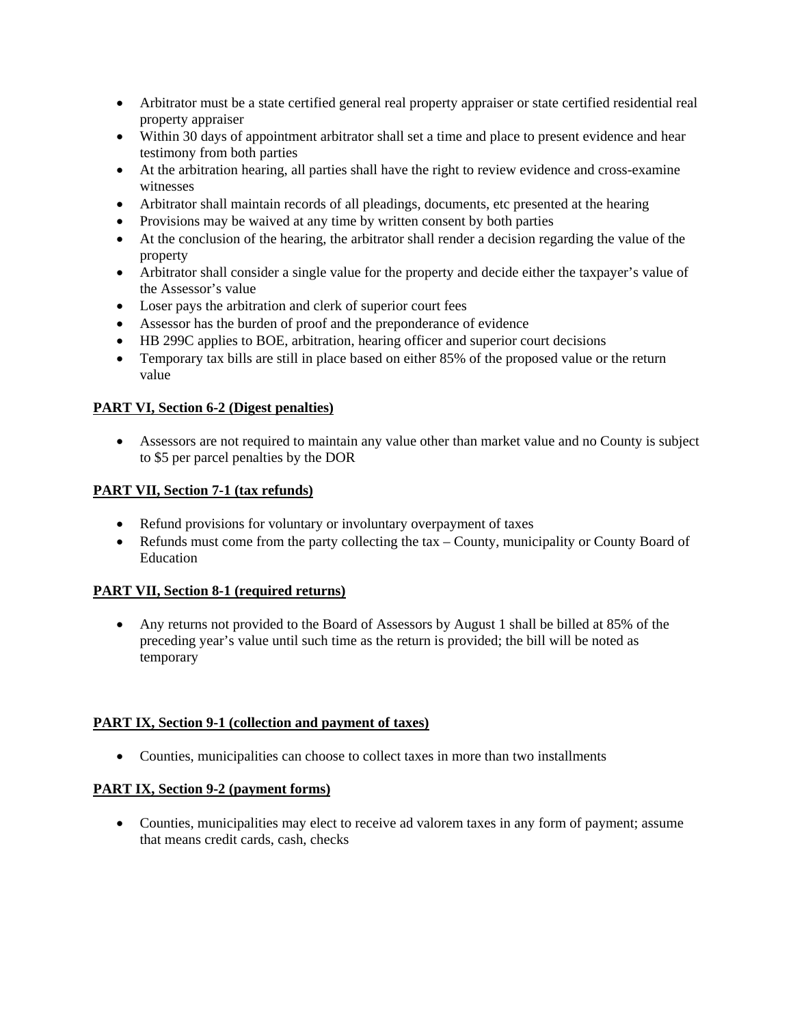- Arbitrator must be a state certified general real property appraiser or state certified residential real property appraiser
- Within 30 days of appointment arbitrator shall set a time and place to present evidence and hear testimony from both parties
- At the arbitration hearing, all parties shall have the right to review evidence and cross-examine witnesses
- Arbitrator shall maintain records of all pleadings, documents, etc presented at the hearing
- Provisions may be waived at any time by written consent by both parties
- At the conclusion of the hearing, the arbitrator shall render a decision regarding the value of the property
- Arbitrator shall consider a single value for the property and decide either the taxpayer's value of the Assessor's value
- Loser pays the arbitration and clerk of superior court fees
- Assessor has the burden of proof and the preponderance of evidence
- HB 299C applies to BOE, arbitration, hearing officer and superior court decisions
- Temporary tax bills are still in place based on either 85% of the proposed value or the return value

#### **PART VI, Section 6-2 (Digest penalties)**

• Assessors are not required to maintain any value other than market value and no County is subject to \$5 per parcel penalties by the DOR

#### **PART VII, Section 7-1 (tax refunds)**

- Refund provisions for voluntary or involuntary overpayment of taxes
- Refunds must come from the party collecting the tax County, municipality or County Board of Education

#### **PART VII, Section 8-1 (required returns)**

• Any returns not provided to the Board of Assessors by August 1 shall be billed at 85% of the preceding year's value until such time as the return is provided; the bill will be noted as temporary

#### **PART IX, Section 9-1 (collection and payment of taxes)**

• Counties, municipalities can choose to collect taxes in more than two installments

### **PART IX, Section 9-2 (payment forms)**

• Counties, municipalities may elect to receive ad valorem taxes in any form of payment; assume that means credit cards, cash, checks